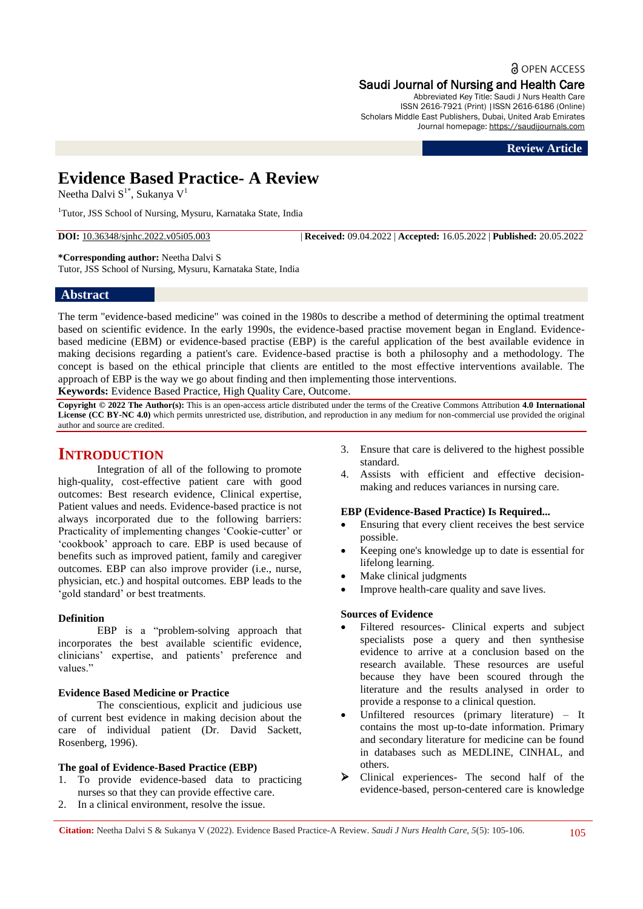**a** OPEN ACCESS

# Saudi Journal of Nursing and Health Care

Abbreviated Key Title: Saudi J Nurs Health Care ISSN 2616-7921 (Print) |ISSN 2616-6186 (Online) Scholars Middle East Publishers, Dubai, United Arab Emirates Journal homepage: [https://saudijournals.com](https://saudijournals.com/sjnhc)

**Review Article**

# **Evidence Based Practice- A Review**

Neetha Dalvi  $S^{1*}$ , Sukanya V<sup>1</sup>

<sup>1</sup>Tutor, JSS School of Nursing, Mysuru, Karnataka State, India

**DOI:** 10.36348/sjnhc.2022.v05i05.003 | **Received:** 09.04.2022 | **Accepted:** 16.05.2022 | **Published:** 20.05.2022

**\*Corresponding author:** Neetha Dalvi S Tutor, JSS School of Nursing, Mysuru, Karnataka State, India

# **Abstract**

The term "evidence-based medicine" was coined in the 1980s to describe a method of determining the optimal treatment based on scientific evidence. In the early 1990s, the evidence-based practise movement began in England. Evidencebased medicine (EBM) or evidence-based practise (EBP) is the careful application of the best available evidence in making decisions regarding a patient's care. Evidence-based practise is both a philosophy and a methodology. The concept is based on the ethical principle that clients are entitled to the most effective interventions available. The approach of EBP is the way we go about finding and then implementing those interventions. **Keywords:** Evidence Based Practice, High Quality Care, Outcome.

**Copyright © 2022 The Author(s):** This is an open-access article distributed under the terms of the Creative Commons Attribution **4.0 International License (CC BY-NC 4.0)** which permits unrestricted use, distribution, and reproduction in any medium for non-commercial use provided the original author and source are credited.

# **INTRODUCTION**

Integration of all of the following to promote high-quality, cost-effective patient care with good outcomes: Best research evidence, Clinical expertise, Patient values and needs. Evidence-based practice is not always incorporated due to the following barriers: Practicality of implementing changes 'Cookie-cutter' or ‗cookbook' approach to care. EBP is used because of benefits such as improved patient, family and caregiver outcomes. EBP can also improve provider (i.e., nurse, physician, etc.) and hospital outcomes. EBP leads to the 'gold standard' or best treatments.

#### **Definition**

EBP is a "problem-solving approach that incorporates the best available scientific evidence, clinicians' expertise, and patients' preference and values."

#### **Evidence Based Medicine or Practice**

The conscientious, explicit and judicious use of current best evidence in making decision about the care of individual patient (Dr. David Sackett, Rosenberg, 1996).

#### **The goal of Evidence-Based Practice (EBP)**

- 1. To provide evidence-based data to practicing nurses so that they can provide effective care.
- 2. In a clinical environment, resolve the issue.
- 3. Ensure that care is delivered to the highest possible standard.
- 4. Assists with efficient and effective decisionmaking and reduces variances in nursing care.

#### **EBP (Evidence-Based Practice) Is Required...**

- Ensuring that every client receives the best service possible.
- Keeping one's knowledge up to date is essential for lifelong learning.
- Make clinical judgments
- Improve health-care quality and save lives.

#### **Sources of Evidence**

- Filtered resources- Clinical experts and subject specialists pose a query and then synthesise evidence to arrive at a conclusion based on the research available. These resources are useful because they have been scoured through the literature and the results analysed in order to provide a response to a clinical question.
- Unfiltered resources (primary literature) It contains the most up-to-date information. Primary and secondary literature for medicine can be found in databases such as MEDLINE, CINHAL, and others.
- Clinical experiences- The second half of the evidence-based, person-centered care is knowledge